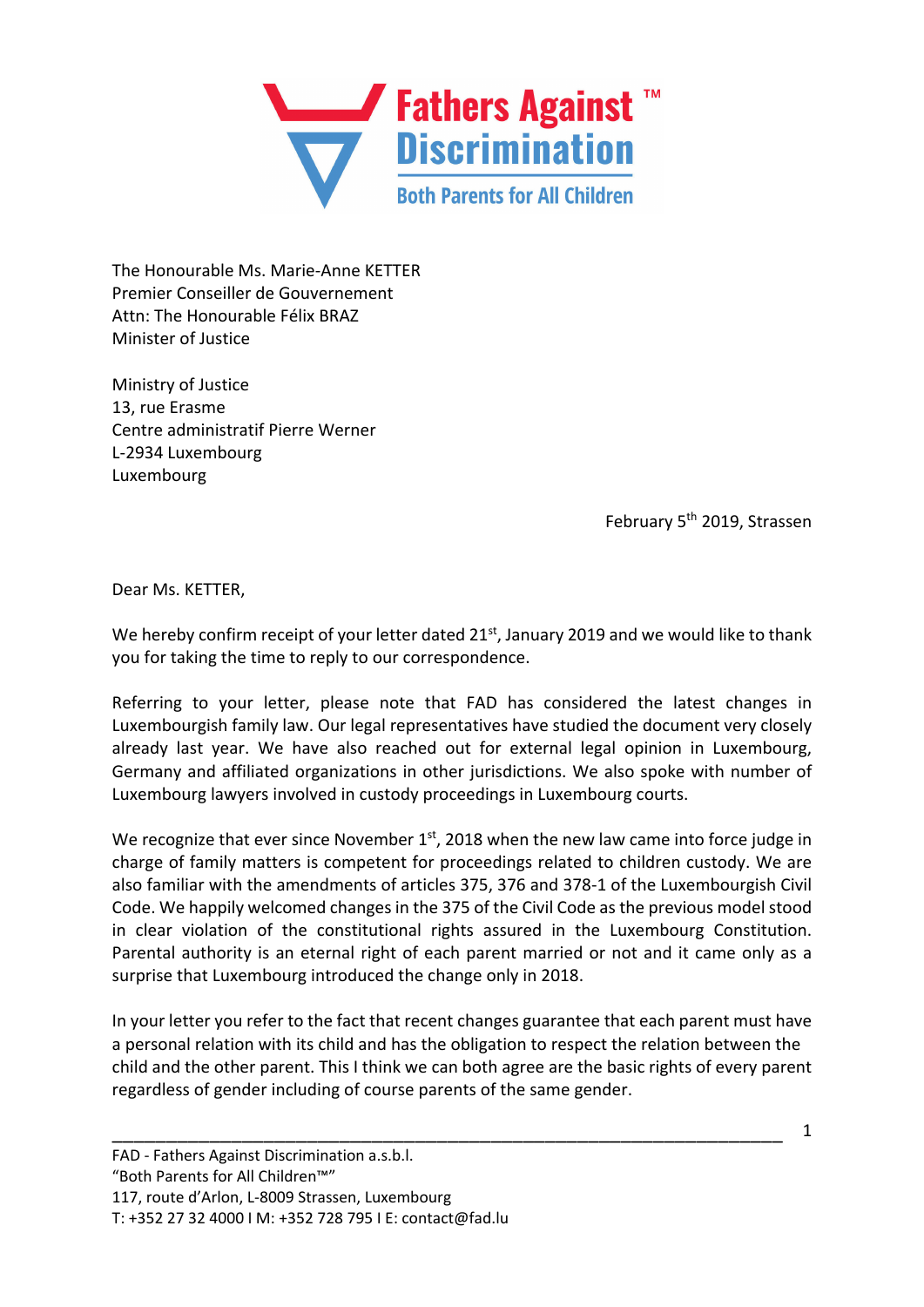

The Honourable Ms. Marie-Anne KETTER Premier Conseiller de Gouvernement Attn: The Honourable Félix BRAZ Minister of Justice

Ministry of Justice 13, rue Erasme Centre administratif Pierre Werner L-2934 Luxembourg Luxembourg

February 5<sup>th</sup> 2019, Strassen

Dear Ms. KETTER,

We hereby confirm receipt of your letter dated 21<sup>st</sup>, January 2019 and we would like to thank you for taking the time to reply to our correspondence.

Referring to your letter, please note that FAD has considered the latest changes in Luxembourgish family law. Our legal representatives have studied the document very closely already last year. We have also reached out for external legal opinion in Luxembourg, Germany and affiliated organizations in other jurisdictions. We also spoke with number of Luxembourg lawyers involved in custody proceedings in Luxembourg courts.

We recognize that ever since November  $1<sup>st</sup>$ , 2018 when the new law came into force judge in charge of family matters is competent for proceedings related to children custody. We are also familiar with the amendments of articles 375, 376 and 378-1 of the Luxembourgish Civil Code. We happily welcomed changes in the 375 of the Civil Code as the previous model stood in clear violation of the constitutional rights assured in the Luxembourg Constitution. Parental authority is an eternal right of each parent married or not and it came only as a surprise that Luxembourg introduced the change only in 2018.

In your letter you refer to the fact that recent changes guarantee that each parent must have a personal relation with its child and has the obligation to respect the relation between the child and the other parent. This I think we can both agree are the basic rights of every parent regardless of gender including of course parents of the same gender.

\_\_\_\_\_\_\_\_\_\_\_\_\_\_\_\_\_\_\_\_\_\_\_\_\_\_\_\_\_\_\_\_\_\_\_\_\_\_\_\_\_\_\_\_\_\_\_\_\_\_\_\_\_\_\_\_\_\_\_\_\_\_